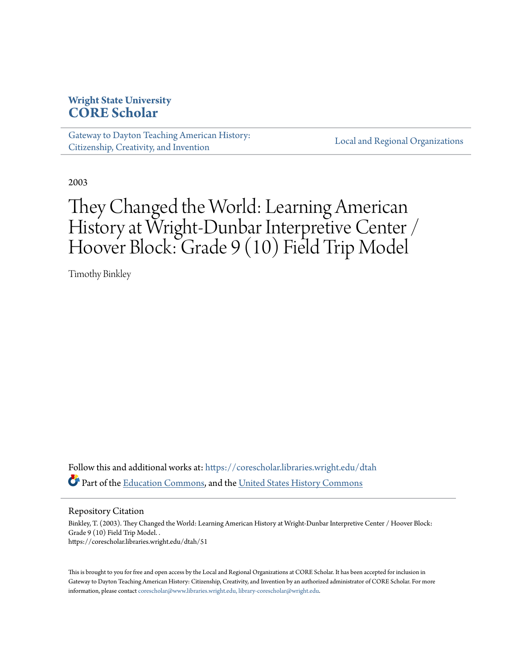# **Wright State University [CORE Scholar](https://corescholar.libraries.wright.edu?utm_source=corescholar.libraries.wright.edu%2Fdtah%2F51&utm_medium=PDF&utm_campaign=PDFCoverPages)**

[Gateway to Dayton Teaching American History:](https://corescholar.libraries.wright.edu/dtah?utm_source=corescholar.libraries.wright.edu%2Fdtah%2F51&utm_medium=PDF&utm_campaign=PDFCoverPages) [Citizenship, Creativity, and Invention](https://corescholar.libraries.wright.edu/dtah?utm_source=corescholar.libraries.wright.edu%2Fdtah%2F51&utm_medium=PDF&utm_campaign=PDFCoverPages)

[Local and Regional Organizations](https://corescholar.libraries.wright.edu/organizations?utm_source=corescholar.libraries.wright.edu%2Fdtah%2F51&utm_medium=PDF&utm_campaign=PDFCoverPages)

2003

# They Changed the World: Learning American History at Wright-Dunbar Interpretive Center / Hoover Block: Grade 9 (10) Field Trip Model

Timothy Binkley

Follow this and additional works at: [https://corescholar.libraries.wright.edu/dtah](https://corescholar.libraries.wright.edu/dtah?utm_source=corescholar.libraries.wright.edu%2Fdtah%2F51&utm_medium=PDF&utm_campaign=PDFCoverPages) Part of the [Education Commons](http://network.bepress.com/hgg/discipline/784?utm_source=corescholar.libraries.wright.edu%2Fdtah%2F51&utm_medium=PDF&utm_campaign=PDFCoverPages), and the [United States History Commons](http://network.bepress.com/hgg/discipline/495?utm_source=corescholar.libraries.wright.edu%2Fdtah%2F51&utm_medium=PDF&utm_campaign=PDFCoverPages)

Repository Citation

Binkley, T. (2003). They Changed the World: Learning American History at Wright-Dunbar Interpretive Center / Hoover Block: Grade 9 (10) Field Trip Model. . https://corescholar.libraries.wright.edu/dtah/51

This is brought to you for free and open access by the Local and Regional Organizations at CORE Scholar. It has been accepted for inclusion in Gateway to Dayton Teaching American History: Citizenship, Creativity, and Invention by an authorized administrator of CORE Scholar. For more information, please contact [corescholar@www.libraries.wright.edu, library-corescholar@wright.edu.](mailto:corescholar@www.libraries.wright.edu,%20library-corescholar@wright.edu)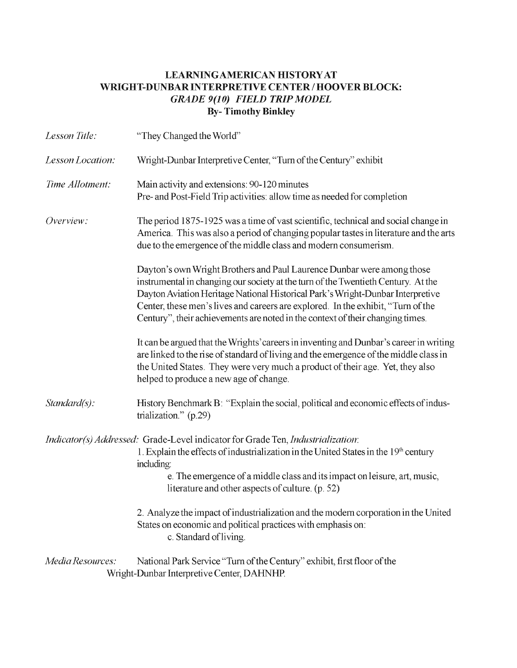### LEARNING AMERICAN HISTORY AT WRIGHT-DUNBAR INTERPRETIVE CENTER / HOOVER BLOCK: *GRADE 9(10) FIELD TRIP MODEL*  By- Timothy Binkley

| Lesson Title:    | "They Changed the World"                                                                                                                                                                                                                                                                                                                                                                                            |  |  |
|------------------|---------------------------------------------------------------------------------------------------------------------------------------------------------------------------------------------------------------------------------------------------------------------------------------------------------------------------------------------------------------------------------------------------------------------|--|--|
| Lesson Location: | Wright-Dunbar Interpretive Center, "Turn of the Century" exhibit                                                                                                                                                                                                                                                                                                                                                    |  |  |
| Time Allotment:  | Main activity and extensions: 90-120 minutes<br>Pre- and Post-Field Trip activities: allow time as needed for completion                                                                                                                                                                                                                                                                                            |  |  |
| Overview:        | The period 1875-1925 was a time of vast scientific, technical and social change in<br>America. This was also a period of changing popular tastes in literature and the arts<br>due to the emergence of the middle class and modern consumerism.                                                                                                                                                                     |  |  |
|                  | Dayton's own Wright Brothers and Paul Laurence Dunbar were among those<br>instrumental in changing our society at the turn of the Twentieth Century. At the<br>Dayton Aviation Heritage National Historical Park's Wright-Dunbar Interpretive<br>Center, these men's lives and careers are explored. In the exhibit, "Turn of the<br>Century", their achievements are noted in the context of their changing times. |  |  |
|                  | It can be argued that the Wrights' careers in inventing and Dunbar's career in writing<br>are linked to the rise of standard of living and the emergence of the middle class in<br>the United States. They were very much a product of their age. Yet, they also<br>helped to produce a new age of change.                                                                                                          |  |  |
| $Standard(s)$ :  | History Benchmark B: "Explain the social, political and economic effects of indus-<br>trialization." (p.29)                                                                                                                                                                                                                                                                                                         |  |  |
|                  | <i>Indicator(s) Addressed:</i> Grade-Level indicator for Grade Ten, <i>Industrialization</i> :<br>1. Explain the effects of industrialization in the United States in the 19th century<br>including:<br>e. The emergence of a middle class and its impact on leisure, art, music,<br>literature and other aspects of culture. (p. 52)                                                                               |  |  |
|                  | 2. Analyze the impact of industrialization and the modern corporation in the United<br>States on economic and political practices with emphasis on:<br>c. Standard of living.                                                                                                                                                                                                                                       |  |  |
| Media Resources: | National Park Service "Turn of the Century" exhibit, first floor of the<br>Wright-Dunbar Interpretive Center, DAHNHP.                                                                                                                                                                                                                                                                                               |  |  |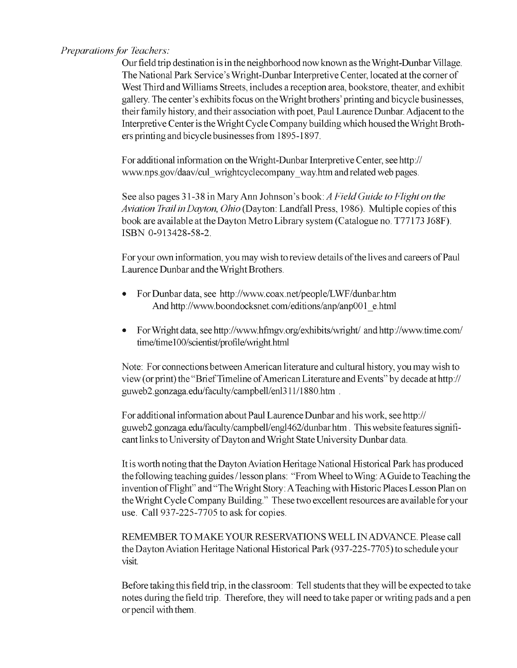#### *Preparations for Teachers:*

Our field trip destination is in the neighborhood now known as the Wright-Dunbar Village. The National Park Service's Wright-Dunbar Interpretive Center, located at the comer of West Third and Williams Streets, includes a reception area, bookstore, theater, and exhibit gallery. The center's exhibits focus on the Wright brothers' printing and bicycle businesses, their family history, and their association with poet, Paul Laurence Dunbar. Adjacent to the Interpretive Center is the Wright Cycle Company building which housed the Wright Brothers printing and bicycle businesses from 1895-1897.

F or additional information on the Wright -DunbarInterpreti ve Center, see *http://*  www.nps.gov/daav/cul\_wrightcyclecompany\_way.htm and related web pages.

See also pages 31-38 in Mary Ann Johnson's book: *A Field Guide to Flight on the Aviation Trail in Dayton, Ohio* (Dayton: Landfall Press, 1986). Multiple copies ofthis book are available at the Dayton Metro Library system (Catalogue no. T77173 J68F). ISBN 0-913428-58-2.

For your own information, you may wish to review details of the lives and careers of Paul Laurence Dunbar and the Wright Brothers.

- For Dunbar data, see http://www.coax.net/people/LWF/dunbar.htm And http://www.boondocksnet.com/editions/anp/anp001\_e.html
- For Wright data, see http://www.hfmgv.org/exhibits/wright/ and *http://www.time.com/*  $time/time100/scientist/profile/weight.html$

Note: For connections between American literature and cultural history, you may wish to view (or print) the "BriefTimeline ofAmerican Literature and Events" by decade at *http://*  guweb2.gonzaga.edu/faculty/campbell/enl311/1880.htm .

For additional information about Paul Laurence Dunbar and his work, see http:// guweb2.gonzaga.edu/faculty/campbell/engl462/dunbarhtm. This website features significant links to University of Dayton and Wright State University Dunbar data.

Itis worth noting that the Dayton Aviation Heritage National Historical Park has produced the following teaching guides I lesson plans: "From Wheel to Wing: A Guide to Teaching the invention ofFlight" and "The Wright Story: A Teaching with Historic Places Lesson Plan on the Wright Cycle Company Building." These two excellent resources are available for your use. Call 937-225-7705 to ask for copies.

REMEMBER TO MAKE YOUR RESERVATIONS WELL IN ADVANCE. Please call the Dayton Aviation Heritage National Historical Park (937 -225-7705) to schedule your visit.

Before taking this field trip, in the classroom: Tell students that they will be expected to take notes during the field trip. Therefore, they will need to take paper or writing pads and a pen or pencil with them.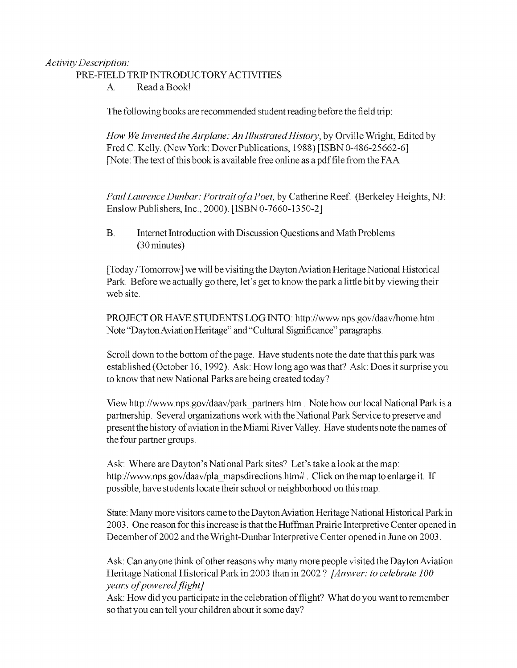#### *Activity Description:*

#### PRE-FIELD TRIP INTRODUCTORYACTIVITIES

A Read a Book!

The following books are recommended student reading before the field trip:

*How We Invented the Airplane: An Illustrated History, by Orville Wright, Edited by* Fred C. Kelly. (New York: Dover Publications, 1988) [ISBN 0-486-25662-6] [Note: The text of this book is available free online as a pdf file from the FAA

*PaulLaurence Dunbar: Portrait ofa Poet,* by Catherine Reef. (Berkeley Heights, NJ: Enslow Publishers, Inc., 2000). [ISBN 0-7660-1350-2]

B. Internet Introduction with Discussion Questions and Math Problems (30 minutes)

[Today / Tomorrow] we will be visiting the Dayton Aviation Heritage National Historical Park. Before we actually go there, let's get to know the park a little bit by viewing their web site.

PROJECT OR HAVE STUDENTS LOG INTO: http://www.nps.gov/daav/home.htm. Note "Dayton Aviation Heritage" and "Cultural Significance" paragraphs.

Scroll down to the bottom of the page. Have students note the date that this park was established (October 16, 1992). Ask: How long ago was that? Ask: Does it surprise you to know that new National Parks are being created today?

View http://www.nps.gov/daav/park\_partners.htm . Note how our local National Park is a partnership. Several organizations work with the National Park Service to preserve and present the history of aviation in the Miami River Valley. Have students note the names of the four partner groups.

Ask: Where are Dayton's National Park sites? Let's take a look at the map: http://www.nps.gov/daav/pla\_mapsdirections.htm#. Click on the map to enlarge it. If possible, have students locate their school or neighborhood on this map.

State: Many more visitors came to the Dayton Aviation Heritage National Historical Parkin 2003. One reason for this increase is that the Huffman Prairie Interpretive Center opened in December of2002 and the Wright-Dunbar Interpretive Center opened in June on 2003.

Ask: Can anyone think of other reasons why many more people visited the Dayton Aviation Heritage National Historical Park in 2003 than in 2002? *JAnswer: to celebrate 100 years of powered flight]* 

Ask: How did you participate in the celebration of flight? What do you want to remember so that you can tell your children about it some day?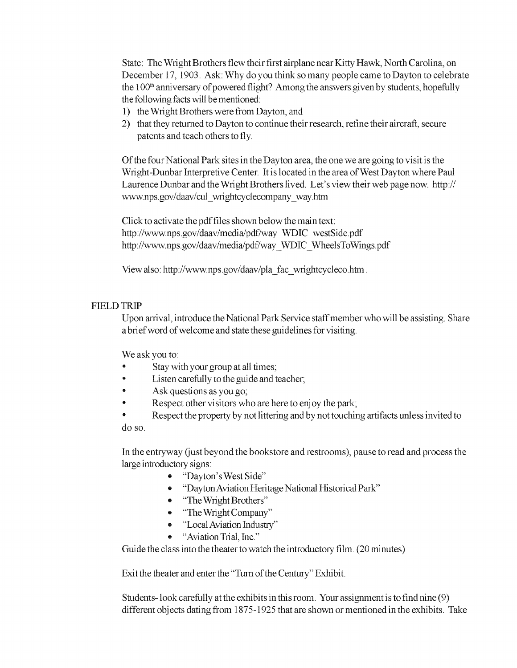State: The Wright Brothers flew their first airplane near Kitty Hawk, North Carolina, on December 17, 1903. Ask: Why do you think so many people came to Dayton to celebrate the 100<sup>th</sup> anniversary of powered flight? Among the answers given by students, hopefully the following facts will be mentioned:

- 1) the Wright Brothers were from Dayton, and
- 2) that they returned to Dayton to continue their research, refine their aircraft, secure patents and teach others to fly.

Ofthe four National Park sites in the Dayton area, the one we are going to visit is the Wright-Dunbar Interpretive Center. It is located in the area of West Dayton where Paul Laurence Dunbar and the Wright Brothers lived. Let's view their web page now. http:// www.nps.gov/daav/cul\_wrightcyclecompany\_way.htm

Click to activate the pdffiles shown below the main text: http://www.nps.gov/daav/media/pdf/way\_WDIC\_westSide.pdf http://www.nps.gov/daav/media/pdf/way\_WDIC\_WheelsToWings.pdf

View also: http://www.nps.gov/daav/pla\_fac\_wrightcycleco.htm .

#### FIELD TRIP

Upon arrival, introduce the National Park Service staff member who will be assisting. Share a brief word of welcome and state these guidelines for visiting.

We ask you to:

- Stay with your group at all times;
- Listen carefully to the guide and teacher;
- Ask questions as you go;
- Respect other visitors who are here to enjoy the park;
- Respect the property by not littering and by not touching artifacts unless invited to do so.

In the entryway Gust beyond the bookstore and restrooms), pause to read and process the large introductory signs:

- "Dayton's West Side"
- "Dayton Aviation Heritage National Historical Park"
- "The Wright Brothers"
- "The Wright Company"
- "Local Aviation Industry"
- "Aviation Trial, Inc."

Guide the class into the theater to watch the introductory film. (20 minutes)

Exit the theater and enter the "Turn of the Century" Exhibit.

Students-look carefully at the exhibits in this room. Your assignment is to find nine (9) different objects dating from 1875-1925 that are shown or mentioned in the exhibits. Take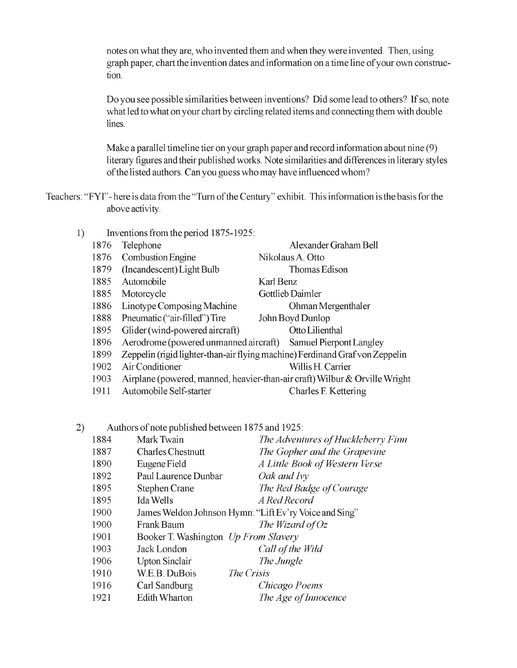notes on what they are, who invented them and when they were invented. Then, using graph paper, chart the invention dates and information on a time line ofyour own construction.

Do you see possible similarities between inventions? Did some lead to others? If so, note what led to what on your chart by circling related items and connecting them with double lines.

Make a parallel timeline tier on your graph paper and record information about nine (9) literary figures and their published works. Note similarities and differences in literary styles ofthe listed authors. Can you guess who may have influenced whom?

Teachers: "FYT"- here is data from the "Turn of the Century" exhibit. This information is the basis for the above activity.

1) Inventions from the period 1875-1925: 1876 Telephone Alexander Graham Bell 1876 Combustion Engine Nikolaus A. Otto 1879 (Incandescent) Light Bulb Thomas Edison 1885 Automobile Karl Benz 1885 Motorcycle Gottlieb Daimler 1886 Linotype Composing Machine Ohman Mergenthaler 1888 Pneumatic ("air-f1lled") Tire John Boyd Dunlop 1895 Glider (wind-powered aircraft) Otto Lilienthal 1896 Aerodrome (powered unmanned aircraft) Samuel Pierpont Langley 1899 Zeppelin (rigid lighter -than-air flying machine) Ferdinand Graf von Zeppelin 1902 Air Conditioner Willis H. Carrier 1903 Airplane (powered, manned, heavier-than-air craft) Wilbur & Orville Wright 1911 Automobile Self-starter Charles F. Kettering

2) Authors of note published between 1875 and 1925:

| 1884 | Mark Twain                           | The Adventures of Huckleberry Finn                     |
|------|--------------------------------------|--------------------------------------------------------|
| 1887 | <b>Charles Chestnutt</b>             | The Gopher and the Grapevine                           |
| 1890 | Eugene Field                         | A Little Book of Western Verse                         |
| 1892 | Paul Laurence Dunbar                 | Oak and Ivy                                            |
| 1895 | <b>Stephen Crane</b>                 | The Red Badge of Courage                               |
| 1895 | Ida Wells                            | A Red Record                                           |
| 1900 |                                      | James Weldon Johnson Hymn: "Lift Ev'ry Voice and Sing" |
| 1900 | Frank Baum                           | The Wizard of $Oz$                                     |
| 1901 | Booker T. Washington Up From Slavery |                                                        |
| 1903 | Jack London                          | Call of the Wild                                       |
| 1906 | <b>Upton Sinclair</b>                | The Jungle                                             |
| 1910 | W.E.B. DuBois                        | The Crisis                                             |
| 1916 | Carl Sandburg                        | Chicago Poems                                          |
| 1921 | <b>Edith Wharton</b>                 | The Age of Innocence                                   |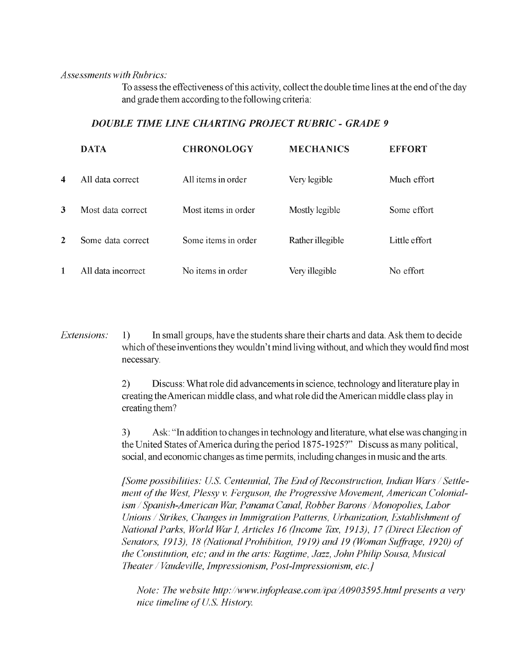*Assessments with Rubrics:* 

To assess the effectiveness ofthis activity, collect the double time lines at the end ofthe day and grade them according to the following criteria:

#### *DOUBLE TIME LINE LIIARTING PROJECT RUBRIC* - *GRADE 9*

|   | <b>DATA</b>        | <b>CHRONOLOGY</b>   | <b>MECHANICS</b> | <b>EFFORT</b> |
|---|--------------------|---------------------|------------------|---------------|
| 4 | All data correct.  | All items in order  | Very legible     | Much effort   |
| 3 | Most data correct  | Most items in order | Mostly legible   | Some effort   |
| 2 | Some data correct  | Some items in order | Rather illegible | Little effort |
|   | All data incorrect | No items in order   | Very illegible   | No effort     |

*Extensions:* 1) In small groups, have the students share their charts and data. Ask them to decide which of these inventions they wouldn't mind living without, and which they would find most necessary.

> 2) Discuss: What role did advancements in science, technology and literature play in creating the American middle class, and what role did the American middle class play in creating them?

3) Ask: "In addition to changes in technology and literature, what else was changing in the United States ofAmerica during the period 1875-1925?" Discuss as many political, social, and economic changes as time permits, including changes in music and the arts.

*ment of the West, Plessy v. Fetguson, the Progressive Movement, American Colonial [Some possibilities: US. Centennial, The End*  ~f*Reconstruction, Indian Wars ism / Spanish-American War, Panama Canal, Robber Barons / Monopolies, Labor Unions*  / *Strikes, Changes in Immigration Patterns, Urbanization, Establishment*  ~f */5'ettleNational Parks, World War I, Articles 16 (Income Tax, 1913), 17 (Direct Election of Senators, 1913), 18 (National Prohibition, 1919) and 19 (Woman Suffrage, 1920) of the Constitution, etc; and in the arts: Ragtime, Jazz, John Philip Sousa, Musical Theater* / *Vaudeville, impressionism, Post-Impressionism, etc.}* 

*Note: The website http://www.infoplease.com/ipa/A0903595.html presents a very nice timeline of U.S. History.*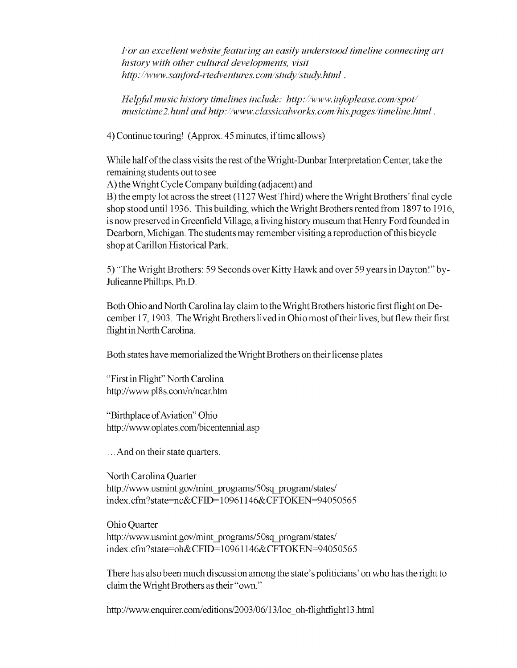*For an excellent website featuring an easily understood timeline connecting art history with other cultural developments, visit htlp://www.sanford-rtedventures.com/study/study.html.* 

*Helpful music history timelines include: htlp://www.infoplease.com/spot/ musictime2.html and http://www.classicalworks.com/his.pages/timeline.html.* 

4) Continue touring! (Approx. 45 minutes, iftime allows)

While half of the class visits the rest of the Wright-Dunbar Interpretation Center, take the remaining students out to see

A) the Wright Cycle Company building (adjacent) and

B) the empty lot across the street (1127 West Third) where the Wright Brothers' final cycle shop stood until 1936. This building, which the Wright Brothers rented from 1897 to 1916, is now preserved in Greenfield Village, a living history museum that Henry Ford founded in Dearborn, Michigan. The students may remember visiting a reproduction ofthis bicycle shop at Carillon Historical Park.

5) "The Wright Brothers: 59 Seconds over Kitty Hawk and over 59 years in Dayton!" by-Julieanne Phillips, Ph.D.

Both Ohio and North Carolina lay claim to the Wright Brothers historic first flight on December 17, 1903. The Wright Brothers lived in Ohio most of their lives, but flew their first flight in North Carolina.

Both states have memorialized the Wright Brothers on their license plates

"First in Flight" North Carolina http://www.pl8s.com/n/ncar.htm

"Birthplace of Aviation" Ohio http://www.oplates.com/bicentennial.asp

... And on their state quarters.

North Carolina Quarter http://www.usmint.gov/mint\_programs/50sq\_program/states/ index.cfm?state=nc&CFID=10961146&CFTOKEN=94050565

Ohio Quarter http://www.usmint.gov/mint\_programs/50sq\_program/states/ index. cfm? state=oh&CFID= 10961 146&CFTOKEN=94050565

There has also been much discussion among the state's politicians' on who has the rightto claim the Wright Brothers as their "own."

http://www.enquirer.com/editions/2003/06/13/loc\_oh-flightfight13.html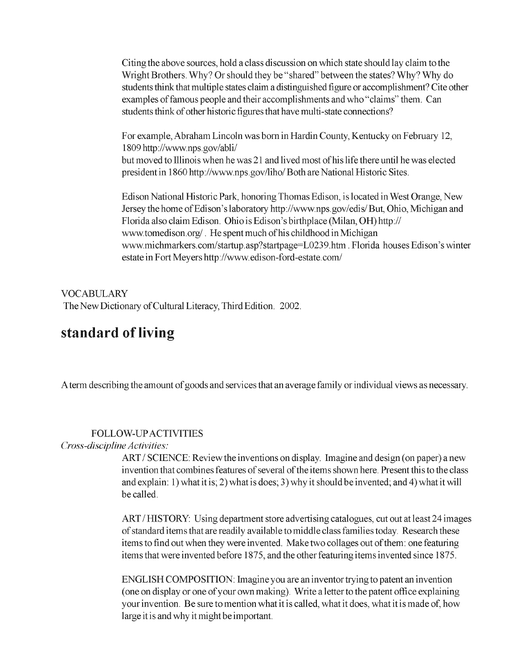Citing the above sources, hold a class discussion on which state should lay claim to the Wright Brothers. Why? Or should they be "shared" between the states? Why? Why do students think that multiple states claim a distinguished figure or accomplishment? Cite other examples of famous people and their accomplishments and who "claims" them. Can students think of other historic figures that have multi-state connections?

For example, Abraham Lincoln was born in Hardin County, Kentucky on February 12, 1809 http://www.nps.gov/abli/ but moved to Illinois when he was 21 and lived most ofhis life there until he was elected president in 1860 http://www.nps.gov/liho/Both are National Historic Sites.

Edison National Historic Park, honoring Thomas Edison, is located in West Orange, New Jersey the home ofEdison's laboratory http://www.nps.gov/edis/But, Ohio, Michigan and Florida also claim Edison. Ohio is Edison's birthplace (Milan, OH) *http://*  www.tomedison.org/. He spent much of his childhood in Michigan www.michmarkers.com/startup.asp?startpage=L0239.htm. Florida houses Edison's winter estate in Fort Meyers http://www.edison-ford-estate.com/

VOCABULARY The New Dictionary of Cultural Literacy, Third Edition. 2002.

# **standard of living**

A term describing the amount of goods and services that an average family or individual views as necessary.

# FOLLOW-LTP ACTIVITIES

#### *Cross-discipline Activities:*

ART / SCIENCE: Review the inventions on display. Imagine and design (on paper) a new invention that combines features of several of the items shown here. Present this to the class and explain: 1) what it is; 2) what is does; 3) why it should be invented; and 4) what it will be called.

ART/HISTORY: Using department store advertising catalogues, cut out at least 24 images of standard items that are readily available to middle class families today. Research these items to find out when they were invented. Make two collages out of them: one featuring items that were invented before 1875, and the other featuring items invented since 1875.

ENGLISH COMPOSITION: Imagine you are an inventor trying to patent an invention (one on display or one ofyour own making). Write a letter to the patent office explaining your invention. Be sure to mention what it is called, what it does, what it is made of, how large it is and why it might be important.